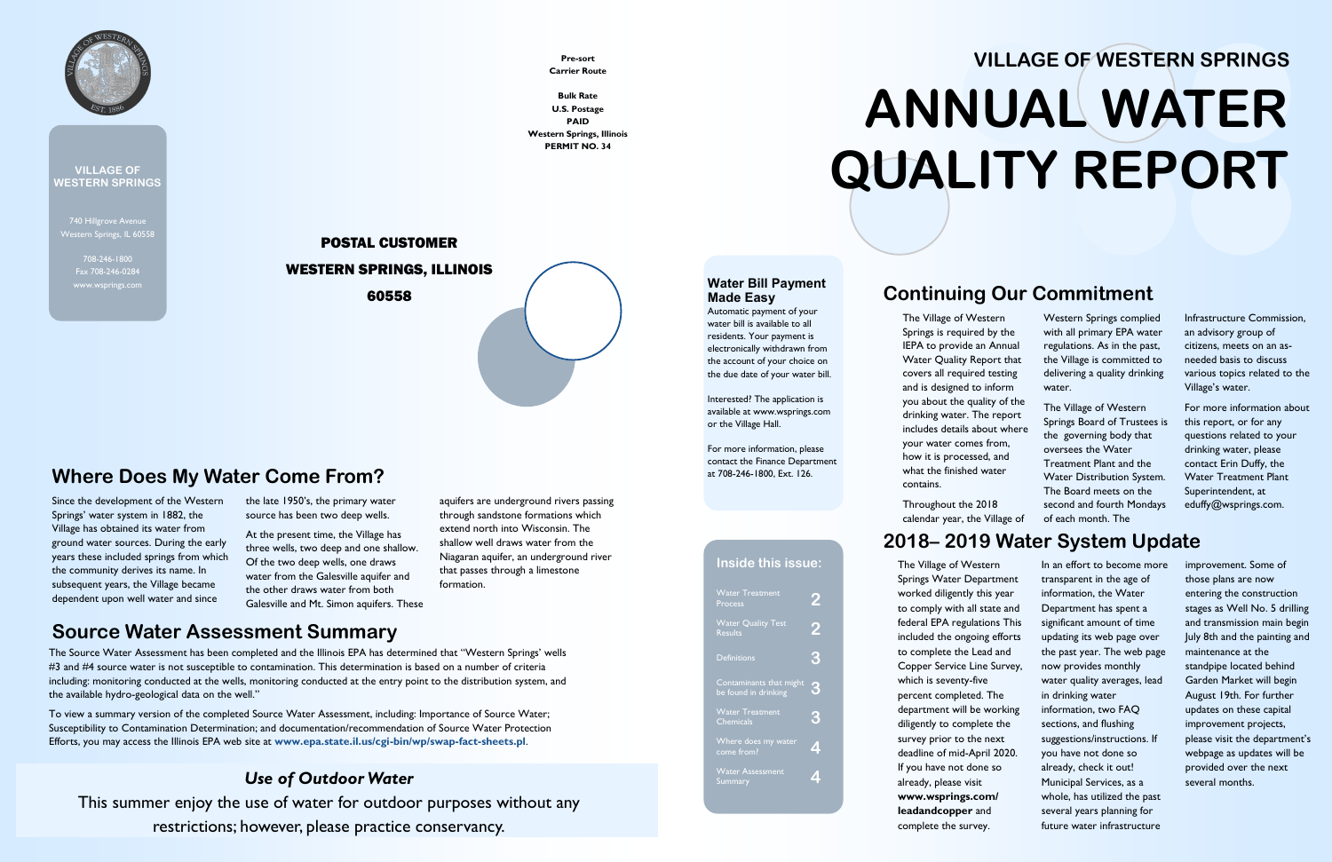740 Hillgrove Avenue Western Springs, IL 60558

> 708-246-1800 Fax 708-246-0284



**VILLAGE OF WESTERN SPRINGS**

### **Continuing Our Commitment**

The Village of Western Springs is required by the IEPA to provide an Annual Water Quality Report that covers all required testing and is designed to inform you about the quality of the drinking water. The report includes details about where your water comes from, how it is processed, and what the finished water contains.

Throughout the 2018 calendar year, the Village of

Western Springs complied with all primary EPA water regulations. As in the past, the Village is committed to delivering a quality drinking water.

The Village of Western Springs Board of Trustees is the governing body that oversees the Water Treatment Plant and the Water Distribution System. The Board meets on the second and fourth Mondays of each month. The

Infrastructure Commission, an advisory group of citizens, meets on an asneeded basis to discuss various topics related to the Village's water.

For more information about this report, or for any questions related to your drinking water, please contact Erin Duffy, the Water Treatment Plant Superintendent, at eduffy@wsprings.com.

### **2018– 2019 Water System Update**

| <b>Water Treatment</b><br>Process               |                         |
|-------------------------------------------------|-------------------------|
| <b>Water Quality Test</b><br><b>Results</b>     | Ż                       |
| <b>Definitions</b>                              | 3                       |
| Contaminants that might<br>be found in drinking | 3                       |
| <b>Water Treatment</b><br><b>Chemicals</b>      | 3                       |
| Where does my water<br>come from?               | Z                       |
| <b>Water Assessment</b><br>Summary              | $\overline{\mathbf{r}}$ |
|                                                 |                         |
|                                                 |                         |

The Village of Western Springs Water Department worked diligently this year to comply with all state and federal EPA regulations This included the ongoing efforts to complete the Lead and Copper Service Line Survey, which is seventy-five percent completed. The department will be working diligently to complete the survey prior to the next deadline of mid-April 2020. If you have not done so already, please visit **www.wsprings.com/ leadandcopper** and complete the survey.

In an effort to become more transparent in the age of information, the Water Department has spent a significant amount of time updating its web page over the past year. The web page now provides monthly water quality averages, lead in drinking water information, two FAQ sections, and flushing suggestions/instructions. If you have not done so already, check it out! Municipal Services, as a whole, has utilized the past several years planning for future water infrastructure

improvement. Some of those plans are now entering the construction stages as Well No. 5 drilling and transmission main begin July 8th and the painting and maintenance at the standpipe located behind Garden Market will begin August 19th. For further updates on these capital improvement projects, please visit the department's webpage as updates will be provided over the next several months.

# **VILLAGE OF WESTERN SPRINGS ANNUAL WATER QUALITY REPORT**

### **Inside this issue:**

### **Water Bill Payment Made Easy**

Automatic payment of your water bill is available to all residents. Your payment is electronically withdrawn from the account of your choice on the due date of your water bill.

Interested? The application is available at www.wsprings.com or the Village Hall.

For more information, please contact the Finance Department at 708-246-1800, Ext. 126.

Since the development of the Western Springs' water system in 1882, the Village has obtained its water from ground water sources. During the early years these included springs from which the community derives its name. In subsequent years, the Village became dependent upon well water and since

the late 1950's, the primary water source has been two deep wells.

At the present time, the Village has three wells, two deep and one shallow. Of the two deep wells, one draws water from the Galesville aquifer and the other draws water from both Galesville and Mt. Simon aquifers. These aquifers are underground rivers passing through sandstone formations which extend north into Wisconsin. The shallow well draws water from the Niagaran aquifer, an underground river that passes through a limestone formation.

### **Where Does My Water Come From?**

**Pre-sort Carrier Route**

**Bulk Rate U.S. Postage PAID Western Springs, Illinois PERMIT NO. 34**

# POSTAL CUSTOMER WESTERN SPRINGS, ILLINOIS

60558

### **Source Water Assessment Summary**

The Source Water Assessment has been completed and the Illinois EPA has determined that "Western Springs' wells #3 and #4 source water is not susceptible to contamination. This determination is based on a number of criteria including: monitoring conducted at the wells, monitoring conducted at the entry point to the distribution system, and the available hydro-geological data on the well."

To view a summary version of the completed Source Water Assessment, including: Importance of Source Water; Susceptibility to Contamination Determination; and documentation/recommendation of Source Water Protection Efforts, you may access the Illinois EPA web site at **www.epa.state.il.us/cgi-bin/wp/swap-fact-sheets.pl**.

### *Use of Outdoor Water*

This summer enjoy the use of water for outdoor purposes without any restrictions; however, please practice conservancy.